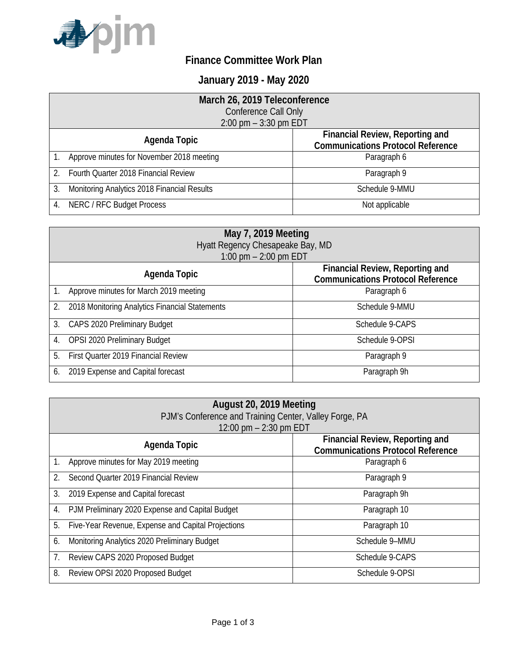

## **Finance Committee Work Plan**

## **January 2019 - May 2020**

|                         | March 26, 2019 Teleconference               |                                          |
|-------------------------|---------------------------------------------|------------------------------------------|
|                         | <b>Conference Call Only</b>                 |                                          |
| 2:00 pm $-$ 3:30 pm EDT |                                             |                                          |
|                         | <b>Financial Review, Reporting and</b>      |                                          |
|                         | Agenda Topic                                | <b>Communications Protocol Reference</b> |
|                         | Approve minutes for November 2018 meeting   | Paragraph 6                              |
|                         | Fourth Quarter 2018 Financial Review        | Paragraph 9                              |
| 3.                      | Monitoring Analytics 2018 Financial Results | Schedule 9-MMU                           |
| 4.                      | <b>NERC / RFC Budget Process</b>            | Not applicable                           |

| May 7, 2019 Meeting                                  |                                                                                    |  |
|------------------------------------------------------|------------------------------------------------------------------------------------|--|
| Hyatt Regency Chesapeake Bay, MD                     |                                                                                    |  |
| 1:00 pm $-$ 2:00 pm EDT                              |                                                                                    |  |
| Agenda Topic                                         | <b>Financial Review, Reporting and</b><br><b>Communications Protocol Reference</b> |  |
| Approve minutes for March 2019 meeting               | Paragraph 6                                                                        |  |
| 2018 Monitoring Analytics Financial Statements<br>2. | Schedule 9-MMU                                                                     |  |
| 3.<br>CAPS 2020 Preliminary Budget                   | Schedule 9-CAPS                                                                    |  |
| OPSI 2020 Preliminary Budget<br>4.                   | Schedule 9-OPSI                                                                    |  |
| First Quarter 2019 Financial Review<br>5.            | Paragraph 9                                                                        |  |
| 2019 Expense and Capital forecast<br>6.              | Paragraph 9h                                                                       |  |

| August 20, 2019 Meeting<br>PJM's Conference and Training Center, Valley Forge, PA<br>12:00 pm $-$ 2:30 pm EDT |                                                    |                                                                                    |
|---------------------------------------------------------------------------------------------------------------|----------------------------------------------------|------------------------------------------------------------------------------------|
|                                                                                                               | Agenda Topic                                       | <b>Financial Review, Reporting and</b><br><b>Communications Protocol Reference</b> |
| 1.                                                                                                            | Approve minutes for May 2019 meeting               | Paragraph 6                                                                        |
| 2.                                                                                                            | Second Quarter 2019 Financial Review               | Paragraph 9                                                                        |
| 3.                                                                                                            | 2019 Expense and Capital forecast                  | Paragraph 9h                                                                       |
| 4.                                                                                                            | PJM Preliminary 2020 Expense and Capital Budget    | Paragraph 10                                                                       |
| 5.                                                                                                            | Five-Year Revenue, Expense and Capital Projections | Paragraph 10                                                                       |
| 6.                                                                                                            | Monitoring Analytics 2020 Preliminary Budget       | Schedule 9-MMU                                                                     |
| 7.                                                                                                            | Review CAPS 2020 Proposed Budget                   | Schedule 9-CAPS                                                                    |
| 8.                                                                                                            | Review OPSI 2020 Proposed Budget                   | Schedule 9-OPSI                                                                    |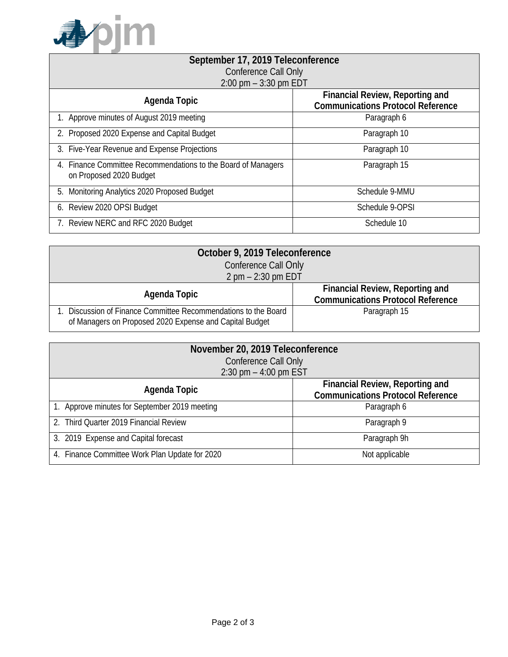

| September 17, 2019 Teleconference                                                        |                                                                                    |  |
|------------------------------------------------------------------------------------------|------------------------------------------------------------------------------------|--|
| <b>Conference Call Only</b>                                                              |                                                                                    |  |
| $2:00$ pm $-3:30$ pm EDT                                                                 |                                                                                    |  |
| Agenda Topic                                                                             | <b>Financial Review, Reporting and</b><br><b>Communications Protocol Reference</b> |  |
| 1. Approve minutes of August 2019 meeting                                                | Paragraph 6                                                                        |  |
| 2. Proposed 2020 Expense and Capital Budget                                              | Paragraph 10                                                                       |  |
| 3. Five-Year Revenue and Expense Projections                                             | Paragraph 10                                                                       |  |
| 4. Finance Committee Recommendations to the Board of Managers<br>on Proposed 2020 Budget | Paragraph 15                                                                       |  |
| Monitoring Analytics 2020 Proposed Budget<br>5.                                          | Schedule 9-MMU                                                                     |  |
| 6. Review 2020 OPSI Budget                                                               | Schedule 9-OPSI                                                                    |  |
| 7. Review NERC and RFC 2020 Budget                                                       | Schedule 10                                                                        |  |

| October 9, 2019 Teleconference                                                                                            |                                                                                    |
|---------------------------------------------------------------------------------------------------------------------------|------------------------------------------------------------------------------------|
| Conference Call Only                                                                                                      |                                                                                    |
| $2$ pm $- 2:30$ pm EDT                                                                                                    |                                                                                    |
| Agenda Topic                                                                                                              | <b>Financial Review, Reporting and</b><br><b>Communications Protocol Reference</b> |
| . Discussion of Finance Committee Recommendations to the Board<br>of Managers on Proposed 2020 Expense and Capital Budget | Paragraph 15                                                                       |

| November 20, 2019 Teleconference               |                                          |  |
|------------------------------------------------|------------------------------------------|--|
| Conference Call Only                           |                                          |  |
| 2:30 pm $-$ 4:00 pm EST                        |                                          |  |
|                                                | <b>Financial Review, Reporting and</b>   |  |
| Agenda Topic                                   | <b>Communications Protocol Reference</b> |  |
| 1. Approve minutes for September 2019 meeting  | Paragraph 6                              |  |
| 2. Third Quarter 2019 Financial Review         | Paragraph 9                              |  |
| 3. 2019 Expense and Capital forecast           | Paragraph 9h                             |  |
| 4. Finance Committee Work Plan Update for 2020 | Not applicable                           |  |